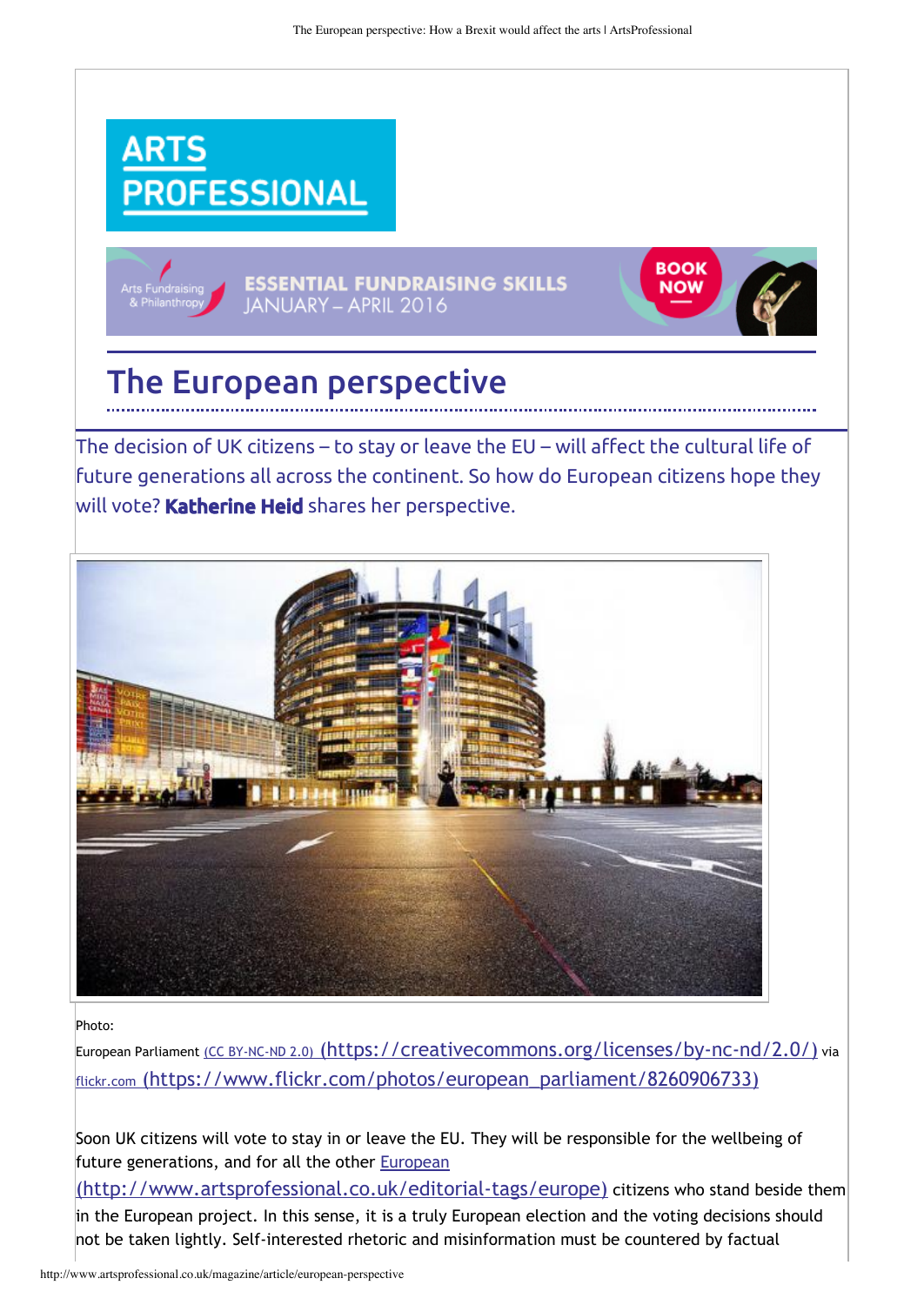**BOOK** 

**NOW** 





The decision of UK citizens – to stay or leave the EU – will affect the cultural life of future generations all across the continent. So how do European citizens hope they will vote? Katherine Heid shares her perspective.



Photo:

European Parliament (CC BY-NC-ND 2.0) (https://creativecommons.org/licenses/by-nc-nd/2.0/) via flickr.com [\(https://www.flickr.com/photos/european\\_parliament/8260906733\)](https://www.flickr.com/photos/european_parliament/8260906733)

Soon UK citizens will vote to stay in or leave the EU. They will be responsible for the wellbeing of future generations, and for all the other **European** 

[\(http://www.artsprofessional.co.uk/editorial‐tags/europe\)](http://www.artsprofessional.co.uk/editorial-tags/europe) citizens who stand beside them in the European project. In this sense, it is a truly European election and the voting decisions should not be taken lightly. Self‐interested rhetoric and misinformation must be countered by factual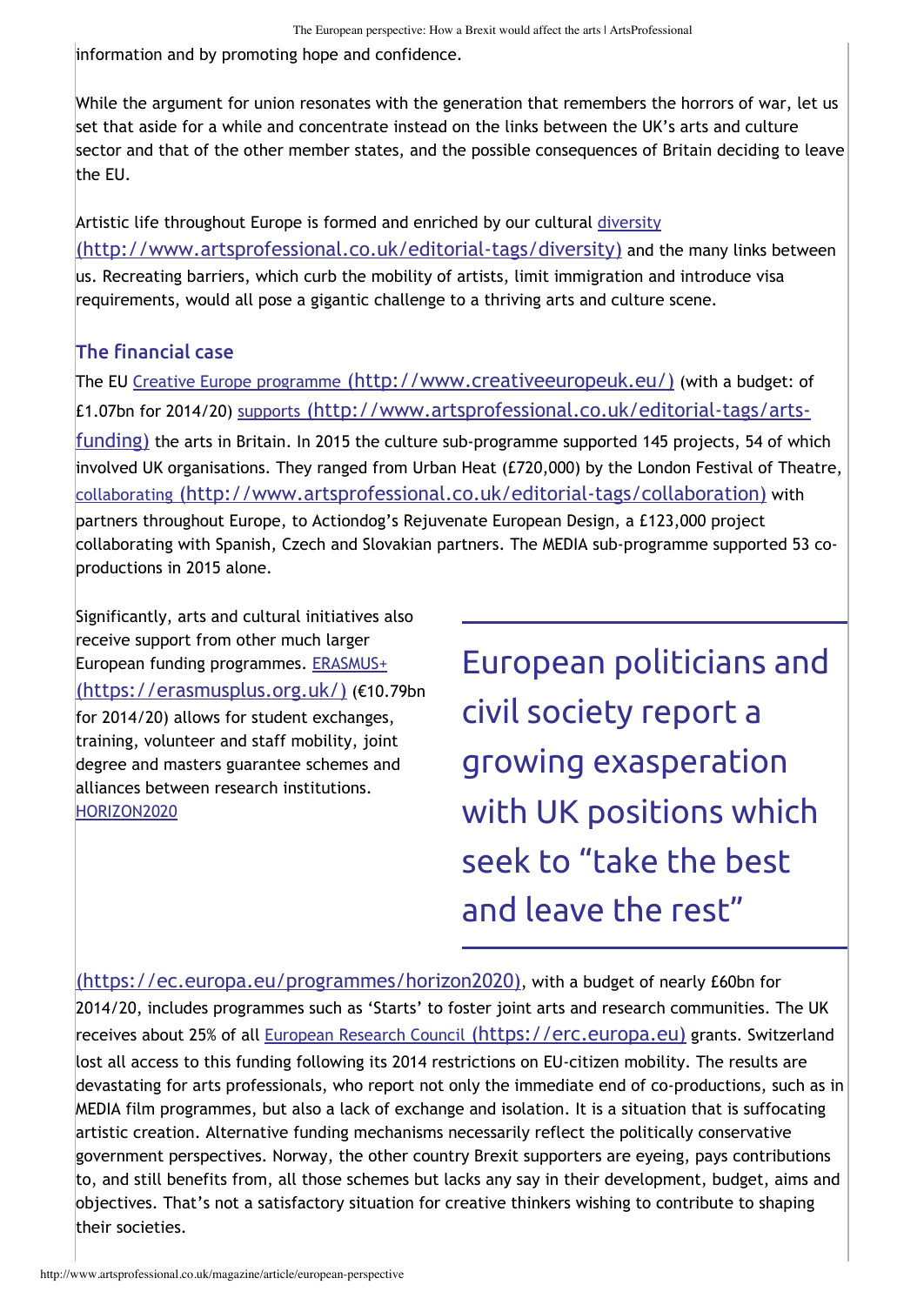information and by promoting hope and confidence.

While the argument for union resonates with the generation that remembers the horrors of war, let us set that aside for a while and concentrate instead on the links between the UK's arts and culture sector and that of the other member states, and the possible consequences of Britain deciding to leave the EU.

Artistic life throughout Europe is formed and enriched by our cultural diversity [\(http://www.artsprofessional.co.uk/editorial‐tags/diversity\)](http://www.artsprofessional.co.uk/editorial-tags/diversity) and the many links between us. Recreating barriers, which curb the mobility of artists, limit immigration and introduce visa requirements, would all pose a gigantic challenge to a thriving arts and culture scene.

## The financial case

The EU Creative Europe programme [\(http://www.creativeeuropeuk.eu/\)](http://www.creativeeuropeuk.eu/) (with a budget: of £1.07bn for 2014/20) supports (http://www.artsprofessional.co.uk/editorial‐tags/arts‐ funding) [the arts in Britain. In 2015 the culture sub‐programme supported 145 projects, 54 of whi](http://www.artsprofessional.co.uk/editorial-tags/arts-funding)ch involved UK organisations. They ranged from Urban Heat (£720,000) by the London Festival of Theatre, collaborating [\(http://www.artsprofessional.co.uk/editorial‐tags/collaboration\)](http://www.artsprofessional.co.uk/editorial-tags/collaboration) with partners throughout Europe, to Actiondog's Rejuvenate European Design, a £123,000 project collaborating with Spanish, Czech and Slovakian partners. The MEDIA sub‐programme supported 53 co‐ productions in 2015 alone.

Significantly, arts and cultural initiatives also receive support from other much larger European funding programmes. ERASMUS+ [\(https://erasmusplus.org.uk/\)](https://erasmusplus.org.uk/) (€10.79bn for 2014/20) allows for student exchanges, training, volunteer and staff mobility, joint degree and masters guarantee schemes and alliances between research institutions. HORIZON2020

European politicians and civil society report a growing exasperation with UK positions which seek to "take the best and leave the rest"

[\(https://ec.europa.eu/programmes/horizon2020\)](https://ec.europa.eu/programmes/horizon2020), with a budget of nearly £60bn for 2014/20, includes programmes such as 'Starts' to foster joint arts and research communities. The UK receives about 25% of all European Research Council [\(https://erc.europa.eu\)](https://erc.europa.eu/) grants. Switzerland lost all access to this funding following its 2014 restrictions on EU‐citizen mobility. The results are devastating for arts professionals, who report not only the immediate end of co-productions, such as in MEDIA film programmes, but also a lack of exchange and isolation. It is a situation that is suffocating artistic creation. Alternative funding mechanisms necessarily reflect the politically conservative government perspectives. Norway, the other country Brexit supporters are eyeing, pays contributions to, and still benefits from, all those schemes but lacks any say in their development, budget, aims and objectives. That's not a satisfactory situation for creative thinkers wishing to contribute to shaping their societies.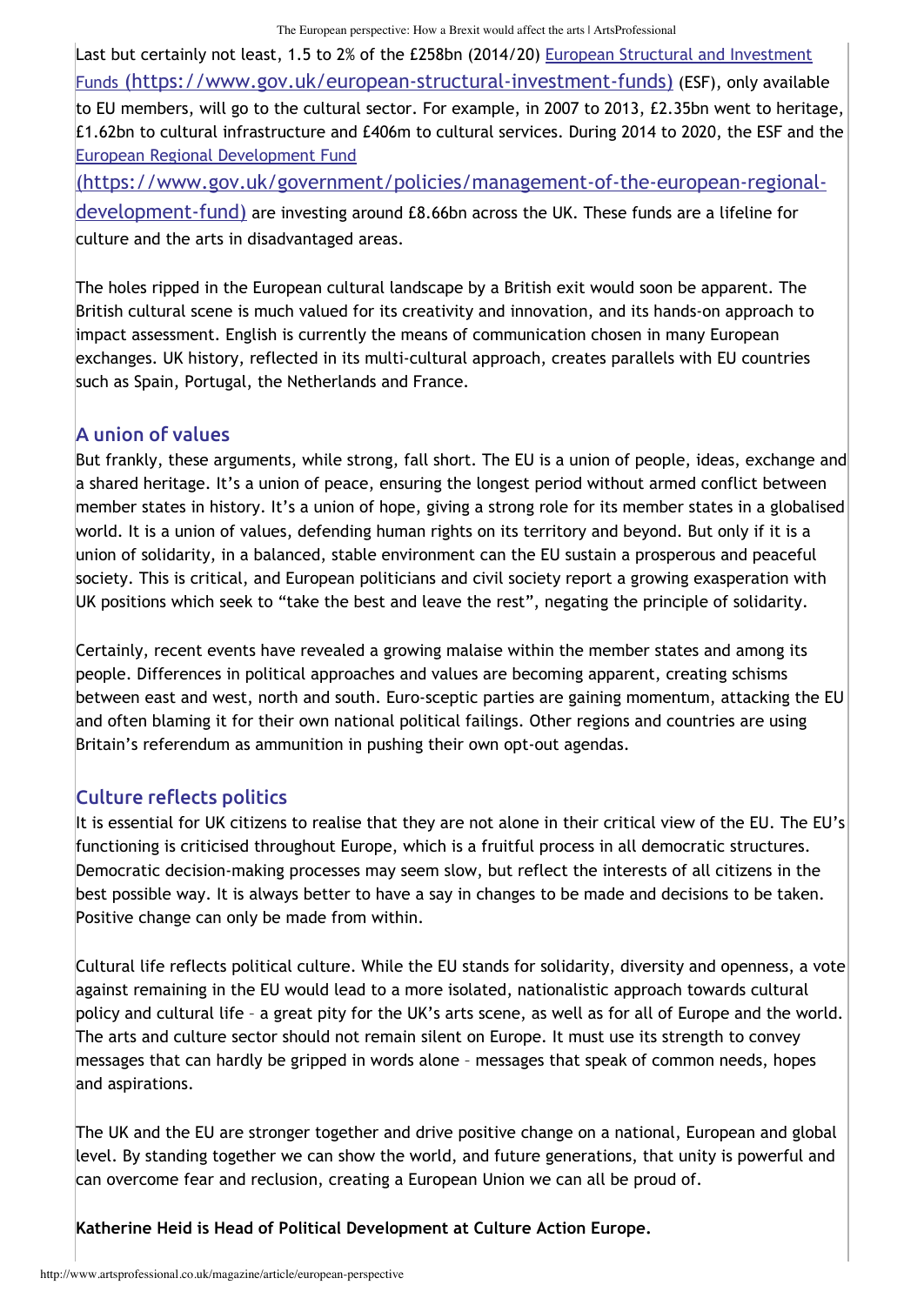Last but certainly not least, 1.5 to 2% of the £258bn (2014/20) European Structural and Investment Funds [\(https://www.gov.uk/european‐structural‐investment‐funds\)](https://www.gov.uk/european-structural-investment-funds) (ESF), only available to EU members, will go to the cultural sector. For example, in 2007 to 2013, £2.35bn went to heritage, £1.62bn to cultural infrastructure and £406m to cultural services. During 2014 to 2020, the ESF and the European Regional Development Fund

[\(https://www.gov.uk/government/policies/management‐of‐the‐european‐regional‐](https://www.gov.uk/government/policies/management-of-the-european-regional-development-fund) development‐fund) are investing around £8.66bn across the UK. These funds are a lifeline for culture and the arts in disadvantaged areas.

The holes ripped in the European cultural landscape by a British exit would soon be apparent. The British cultural scene is much valued for its creativity and innovation, and its hands‐on approach to impact assessment. English is currently the means of communication chosen in many European exchanges. UK history, reflected in its multi‐cultural approach, creates parallels with EU countries such as Spain, Portugal, the Netherlands and France.

## A union of values

But frankly, these arguments, while strong, fall short. The EU is a union of people, ideas, exchange and a shared heritage. It's a union of peace, ensuring the longest period without armed conflict between member states in history. It's a union of hope, giving a strong role for its member states in a globalised world. It is a union of values, defending human rights on its territory and beyond. But only if it is a union of solidarity, in a balanced, stable environment can the EU sustain a prosperous and peaceful society. This is critical, and European politicians and civil society report a growing exasperation with UK positions which seek to "take the best and leave the rest", negating the principle of solidarity.

Certainly, recent events have revealed a growing malaise within the member states and among its people. Differences in political approaches and values are becoming apparent, creating schisms between east and west, north and south. Euro‐sceptic parties are gaining momentum, attacking the EU and often blaming it for their own national political failings. Other regions and countries are using Britain's referendum as ammunition in pushing their own opt-out agendas.

## Culture reflects politics

It is essential for UK citizens to realise that they are not alone in their critical view of the EU. The EU's functioning is criticised throughout Europe, which is a fruitful process in all democratic structures. Democratic decision‐making processes may seem slow, but reflect the interests of all citizens in the best possible way. It is always better to have a say in changes to be made and decisions to be taken. Positive change can only be made from within.

Cultural life reflects political culture. While the EU stands for solidarity, diversity and openness, a vote against remaining in the EU would lead to a more isolated, nationalistic approach towards cultural policy and cultural life – a great pity for the UK's arts scene, as well as for all of Europe and the world. The arts and culture sector should not remain silent on Europe. It must use its strength to convey messages that can hardly be gripped in words alone – messages that speak of common needs, hopes and aspirations.

The UK and the EU are stronger together and drive positive change on a national, European and global level. By standing together we can show the world, and future generations, that unity is powerful and can overcome fear and reclusion, creating a European Union we can all be proud of.

**Katherine Heid is Head of Political Development at Culture Action Europe.**